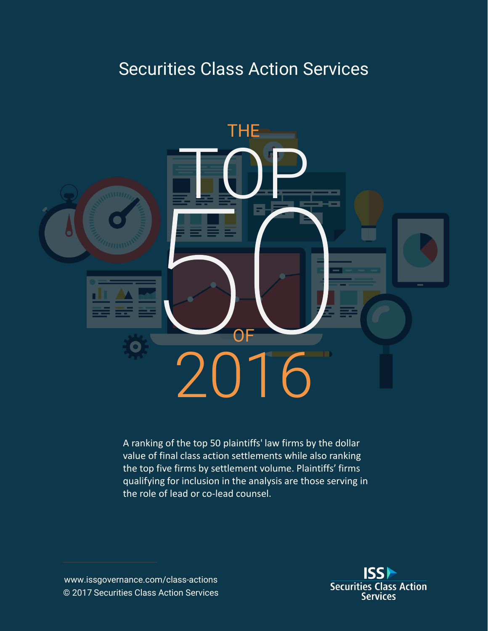# Securities Class Action Services



A ranking of the top 50 plaintiffs' law firms by the dollar value of final class action settlements while also ranking the top five firms by settlement volume. Plaintiffs' firms qualifying for inclusion in the analysis are those serving in the role of lead or co-lead counsel.

www.issgovernance.com/class-actions © 2017 Securities Class Action Services

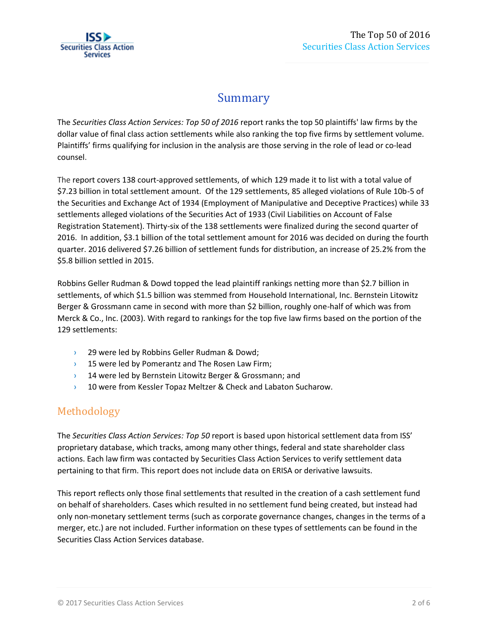## Summary

The *Securities Class Action Services: Top 50 of 2016* report ranks the top 50 plaintiffs' law firms by the dollar value of final class action settlements while also ranking the top five firms by settlement volume. Plaintiffs' firms qualifying for inclusion in the analysis are those serving in the role of lead or co-lead counsel.

The report covers 138 court-approved settlements, of which 129 made it to list with a total value of \$7.23 billion in total settlement amount. Of the 129 settlements, 85 alleged violations of Rule 10b-5 of the Securities and Exchange Act of 1934 (Employment of Manipulative and Deceptive Practices) while 33 settlements alleged violations of the Securities Act of 1933 (Civil Liabilities on Account of False Registration Statement). Thirty-six of the 138 settlements were finalized during the second quarter of 2016. In addition, \$3.1 billion of the total settlement amount for 2016 was decided on during the fourth quarter. 2016 delivered \$7.26 billion of settlement funds for distribution, an increase of 25.2% from the \$5.8 billion settled in 2015.

Robbins Geller Rudman & Dowd topped the lead plaintiff rankings netting more than \$2.7 billion in settlements, of which \$1.5 billion was stemmed from Household International, Inc. Bernstein Litowitz Berger & Grossmann came in second with more than \$2 billion, roughly one-half of which was from Merck & Co., Inc. (2003). With regard to rankings for the top five law firms based on the portion of the 129 settlements:

- › 29 were led by Robbins Geller Rudman & Dowd;
- $\rightarrow$  15 were led by Pomerantz and The Rosen Law Firm;
- **14 were led by Bernstein Litowitz Berger & Grossmann; and**
- <sup>3</sup> 10 were from Kessler Topaz Meltzer & Check and Labaton Sucharow.

### Methodology

The *Securities Class Action Services: Top 50* report is based upon historical settlement data from ISS' proprietary database, which tracks, among many other things, federal and state shareholder class actions. Each law firm was contacted by Securities Class Action Services to verify settlement data pertaining to that firm. This report does not include data on ERISA or derivative lawsuits.

This report reflects only those final settlements that resulted in the creation of a cash settlement fund on behalf of shareholders. Cases which resulted in no settlement fund being created, but instead had only non-monetary settlement terms (such as corporate governance changes, changes in the terms of a merger, etc.) are not included. Further information on these types of settlements can be found in the Securities Class Action Services database.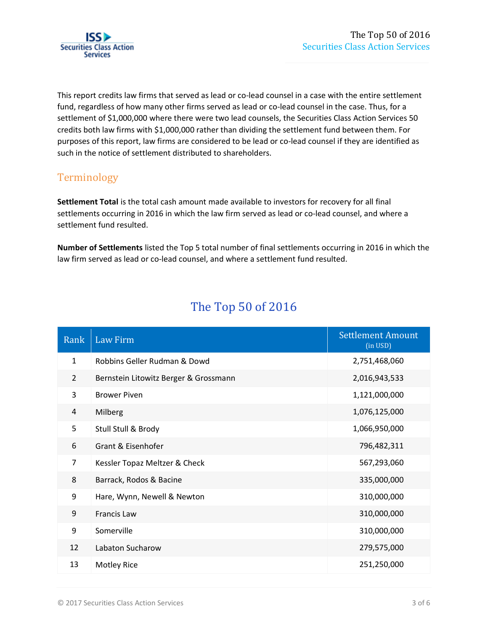

This report credits law firms that served as lead or co-lead counsel in a case with the entire settlement fund, regardless of how many other firms served as lead or co-lead counsel in the case. Thus, for a settlement of \$1,000,000 where there were two lead counsels, the Securities Class Action Services 50 credits both law firms with \$1,000,000 rather than dividing the settlement fund between them. For purposes of this report, law firms are considered to be lead or co-lead counsel if they are identified as such in the notice of settlement distributed to shareholders.

### Terminology

**Settlement Total** is the total cash amount made available to investors for recovery for all final settlements occurring in 2016 in which the law firm served as lead or co-lead counsel, and where a settlement fund resulted.

**Number of Settlements** listed the Top 5 total number of final settlements occurring in 2016 in which the law firm served as lead or co-lead counsel, and where a settlement fund resulted.

| Rank           | <b>Law Firm</b>                       | <b>Settlement Amount</b><br>(in USD) |
|----------------|---------------------------------------|--------------------------------------|
| $\mathbf{1}$   | Robbins Geller Rudman & Dowd          | 2,751,468,060                        |
| $\overline{2}$ | Bernstein Litowitz Berger & Grossmann | 2,016,943,533                        |
| 3              | <b>Brower Piven</b>                   | 1,121,000,000                        |
| 4              | Milberg                               | 1,076,125,000                        |
| 5              | Stull Stull & Brody                   | 1,066,950,000                        |
| 6              | Grant & Eisenhofer                    | 796,482,311                          |
| $\overline{7}$ | Kessler Topaz Meltzer & Check         | 567,293,060                          |
| 8              | Barrack, Rodos & Bacine               | 335,000,000                          |
| 9              | Hare, Wynn, Newell & Newton           | 310,000,000                          |
| 9              | Francis Law                           | 310,000,000                          |
| 9              | Somerville                            | 310,000,000                          |
| 12             | Labaton Sucharow                      | 279,575,000                          |
| 13             | <b>Motley Rice</b>                    | 251,250,000                          |

## The Top 50 of 2016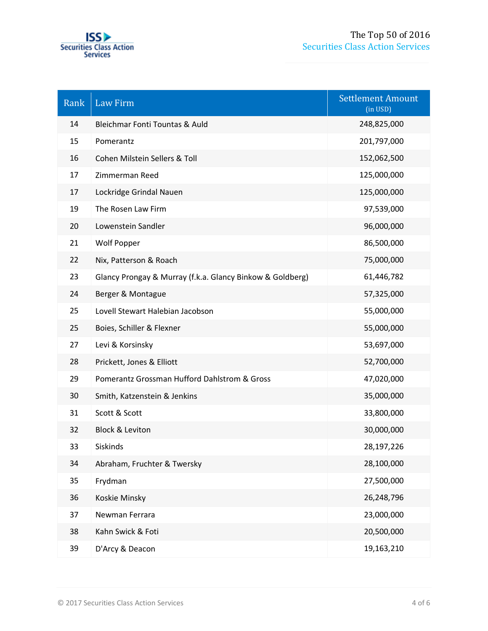

| Rank | <b>Law Firm</b>                                           | <b>Settlement Amount</b><br>(in USD) |  |  |
|------|-----------------------------------------------------------|--------------------------------------|--|--|
| 14   | Bleichmar Fonti Tountas & Auld                            | 248,825,000                          |  |  |
| 15   | Pomerantz                                                 | 201,797,000                          |  |  |
| 16   | Cohen Milstein Sellers & Toll                             | 152,062,500                          |  |  |
| 17   | Zimmerman Reed                                            | 125,000,000                          |  |  |
| 17   | Lockridge Grindal Nauen                                   | 125,000,000                          |  |  |
| 19   | The Rosen Law Firm                                        | 97,539,000                           |  |  |
| 20   | Lowenstein Sandler                                        | 96,000,000                           |  |  |
| 21   | Wolf Popper                                               | 86,500,000                           |  |  |
| 22   | Nix, Patterson & Roach                                    | 75,000,000                           |  |  |
| 23   | Glancy Prongay & Murray (f.k.a. Glancy Binkow & Goldberg) | 61,446,782                           |  |  |
| 24   | Berger & Montague                                         | 57,325,000                           |  |  |
| 25   | Lovell Stewart Halebian Jacobson                          | 55,000,000                           |  |  |
| 25   | Boies, Schiller & Flexner                                 | 55,000,000                           |  |  |
| 27   | Levi & Korsinsky                                          | 53,697,000                           |  |  |
| 28   | Prickett, Jones & Elliott                                 | 52,700,000                           |  |  |
| 29   | Pomerantz Grossman Hufford Dahlstrom & Gross              | 47,020,000                           |  |  |
| 30   | Smith, Katzenstein & Jenkins                              | 35,000,000                           |  |  |
| 31   | Scott & Scott                                             | 33,800,000                           |  |  |
| 32   | <b>Block &amp; Leviton</b>                                | 30,000,000                           |  |  |
| 33   | Siskinds                                                  | 28,197,226                           |  |  |
| 34   | Abraham, Fruchter & Twersky                               | 28,100,000                           |  |  |
| 35   | Frydman                                                   | 27,500,000                           |  |  |
| 36   | Koskie Minsky                                             | 26,248,796                           |  |  |
| 37   | Newman Ferrara                                            | 23,000,000                           |  |  |
| 38   | Kahn Swick & Foti                                         | 20,500,000                           |  |  |
| 39   | D'Arcy & Deacon                                           | 19,163,210                           |  |  |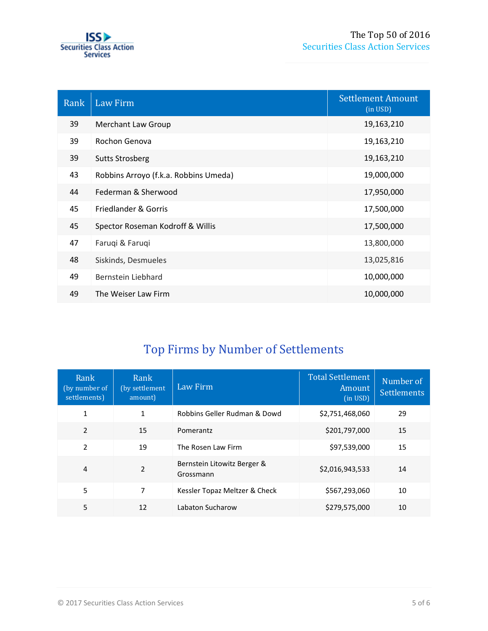

| Rank | Law Firm                              | <b>Settlement Amount</b><br>(in USD) |
|------|---------------------------------------|--------------------------------------|
| 39   | Merchant Law Group                    | 19,163,210                           |
| 39   | Rochon Genova                         | 19,163,210                           |
| 39   | <b>Sutts Strosberg</b>                | 19,163,210                           |
| 43   | Robbins Arroyo (f.k.a. Robbins Umeda) | 19,000,000                           |
| 44   | Federman & Sherwood                   | 17,950,000                           |
| 45   | Friedlander & Gorris                  | 17,500,000                           |
| 45   | Spector Roseman Kodroff & Willis      | 17,500,000                           |
| 47   | Faruqi & Faruqi                       | 13,800,000                           |
| 48   | Siskinds, Desmueles                   | 13,025,816                           |
| 49   | Bernstein Liebhard                    | 10,000,000                           |
| 49   | The Weiser Law Firm                   | 10,000,000                           |

## Top Firms by Number of Settlements

| Rank<br>(by number of<br>settlements) | Rank<br>(by settlement)<br>amount) | Law Firm                                 | Total Settlement<br>Amount<br>(in <b>USD</b> ) | Number of<br><b>Settlements</b> |
|---------------------------------------|------------------------------------|------------------------------------------|------------------------------------------------|---------------------------------|
| 1                                     | 1                                  | Robbins Geller Rudman & Dowd             | \$2,751,468,060                                | 29                              |
| $\mathfrak{p}$                        | 15                                 | Pomerantz                                | \$201,797,000                                  | 15                              |
| $\mathfrak{p}$                        | 19                                 | The Rosen Law Firm                       | \$97,539,000                                   | 15                              |
| 4                                     | 2                                  | Bernstein Litowitz Berger &<br>Grossmann | \$2,016,943,533                                | 14                              |
| 5                                     | 7                                  | Kessler Topaz Meltzer & Check            | \$567,293,060                                  | 10                              |
| 5                                     | 12                                 | Labaton Sucharow                         | \$279,575,000                                  | 10                              |